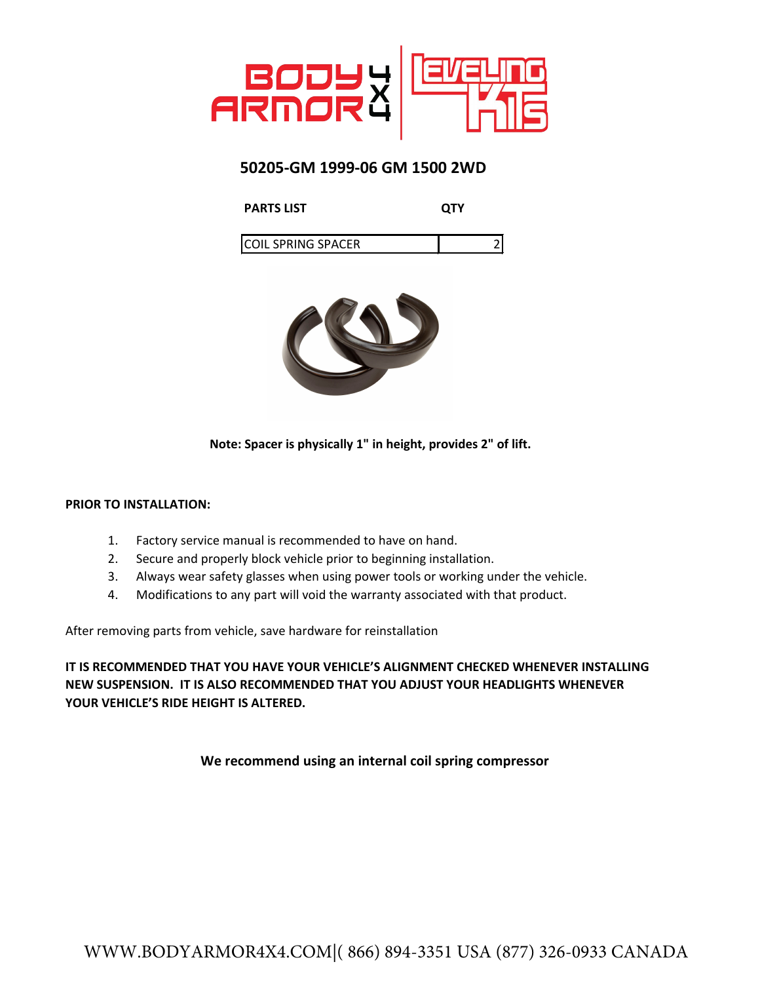

#### **[50205-GM 1999-06 GM](mailto:SALES@MAXTRACSUSPENSION.COM) 1500 2WD**

**PARTS LIST QTY**

| UNG SPACER<br>ורחו גפג |  |
|------------------------|--|
|                        |  |



**Note: Spacer is physically 1" in height, provides 2" of lift.**

#### **PRIOR TO INSTALLATION:**

- 1. Factory service manual is recommended to have on hand.
- 2. Secure and properly block vehicle prior to beginning installation.
- 3. Always wear safety glasses when using power tools or working under the vehicle.
- 4. Modifications to any part will void the warranty associated with that product.

After removing parts from vehicle, save hardware for reinstallation

**IT IS RECOMMENDED THAT YOU HAVE YOUR VEHICLE'S ALIGNMENT CHECKED WHENEVER INSTALLING NEW SUSPENSION. IT IS ALSO RECOMMENDED THAT YOU ADJUST YOUR HEADLIGHTS WHENEVER YOUR VEHICLE'S RIDE HEIGHT IS ALTERED.**

**We recommend using an internal coil spring compressor**